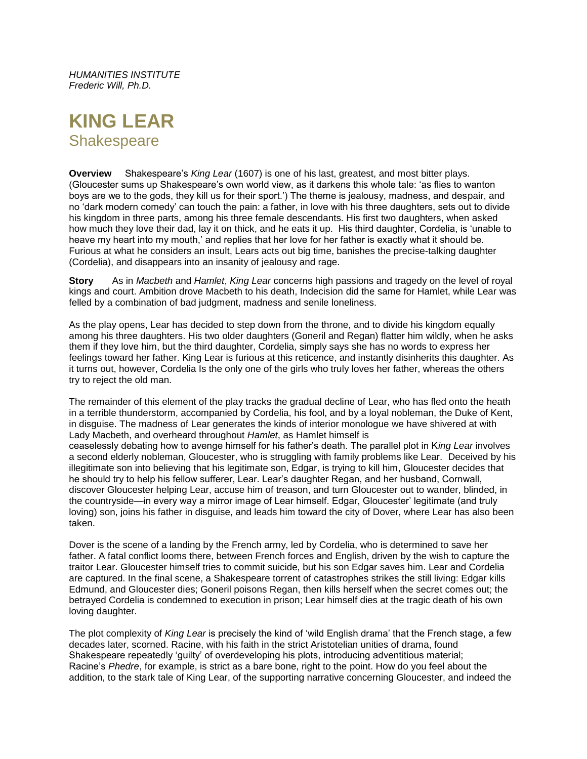*HUMANITIES INSTITUTE Frederic Will, Ph.D.*

# **KING LEAR Shakespeare**

**Overview** Shakespeare's *King Lear* (1607) is one of his last, greatest, and most bitter plays. (Gloucester sums up Shakespeare's own world view, as it darkens this whole tale: 'as flies to wanton boys are we to the gods, they kill us for their sport.') The theme is jealousy, madness, and despair, and no 'dark modern comedy' can touch the pain: a father, in love with his three daughters, sets out to divide his kingdom in three parts, among his three female descendants. His first two daughters, when asked how much they love their dad, lay it on thick, and he eats it up. His third daughter, Cordelia, is 'unable to heave my heart into my mouth,' and replies that her love for her father is exactly what it should be. Furious at what he considers an insult, Lears acts out big time, banishes the precise-talking daughter (Cordelia), and disappears into an insanity of jealousy and rage.

**Story** As in *Macbeth* and *Hamlet*, *King Lear* concerns high passions and tragedy on the level of royal kings and court. Ambition drove Macbeth to his death, Indecision did the same for Hamlet, while Lear was felled by a combination of bad judgment, madness and senile loneliness.

As the play opens, Lear has decided to step down from the throne, and to divide his kingdom equally among his three daughters. His two older daughters (Goneril and Regan) flatter him wildly, when he asks them if they love him, but the third daughter, Cordelia, simply says she has no words to express her feelings toward her father. King Lear is furious at this reticence, and instantly disinherits this daughter. As it turns out, however, Cordelia Is the only one of the girls who truly loves her father, whereas the others try to reject the old man.

The remainder of this element of the play tracks the gradual decline of Lear, who has fled onto the heath in a terrible thunderstorm, accompanied by Cordelia, his fool, and by a loyal nobleman, the Duke of Kent, in disguise. The madness of Lear generates the kinds of interior monologue we have shivered at with Lady Macbeth, and overheard throughout *Hamlet*, as Hamlet himself is ceaselessly debating how to avenge himself for his father's death. The parallel plot in K*ing Lear* involves a second elderly nobleman, Gloucester, who is struggling with family problems like Lear. Deceived by his illegitimate son into believing that his legitimate son, Edgar, is trying to kill him, Gloucester decides that he should try to help his fellow sufferer, Lear. Lear's daughter Regan, and her husband, Cornwall, discover Gloucester helping Lear, accuse him of treason, and turn Gloucester out to wander, blinded, in the countryside—in every way a mirror image of Lear himself. Edgar, Gloucester' legitimate (and truly loving) son, joins his father in disguise, and leads him toward the city of Dover, where Lear has also been taken.

Dover is the scene of a landing by the French army, led by Cordelia, who is determined to save her father. A fatal conflict looms there, between French forces and English, driven by the wish to capture the traitor Lear. Gloucester himself tries to commit suicide, but his son Edgar saves him. Lear and Cordelia are captured. In the final scene, a Shakespeare torrent of catastrophes strikes the still living: Edgar kills Edmund, and Gloucester dies; Goneril poisons Regan, then kills herself when the secret comes out; the betrayed Cordelia is condemned to execution in prison; Lear himself dies at the tragic death of his own loving daughter.

The plot complexity of *King Lear* is precisely the kind of 'wild English drama' that the French stage, a few decades later, scorned. Racine, with his faith in the strict Aristotelian unities of drama, found Shakespeare repeatedly 'guilty' of overdeveloping his plots, introducing adventitious material; Racine's *Phedre*, for example, is strict as a bare bone, right to the point. How do you feel about the addition, to the stark tale of King Lear, of the supporting narrative concerning Gloucester, and indeed the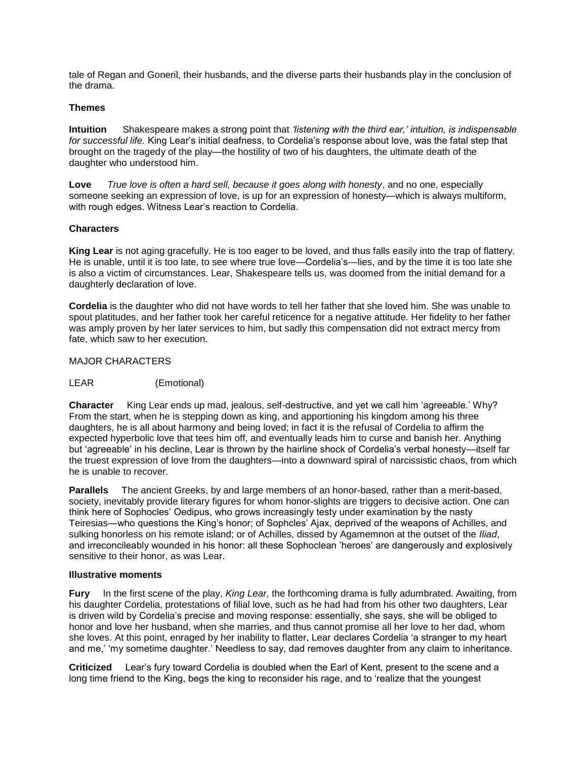tale of Regan and Goneril, their husbands, and the diverse parts their husbands play in the conclusion of the drama.

#### **Themes**

**Intuition**Shakespeare makes a strong point that *'listening with the third ear,' intuition, is indispensable for successful life.* King Lear's initial deafness, to Cordelia's response about love, was the fatal step that brought on the tragedy of the play—the hostility of two of his daughters, the ultimate death of the daughter who understood him.

**Love** *True love is often a hard sell, because it goes along with honesty*, and no one, especially someone seeking an expression of love, is up for an expression of honesty—which is always multiform, with rough edges. Witness Lear's reaction to Cordelia.

# **Characters**

**King Lear** is not aging gracefully. He is too eager to be loved, and thus falls easily into the trap of flattery. He is unable, until it is too late, to see where true love—Cordelia's—lies, and by the time it is too late she is also a victim of circumstances. Lear, Shakespeare tells us, was doomed from the initial demand for a daughterly declaration of love.

**Cordelia** is the daughter who did not have words to tell her father that she loved him. She was unable to spout platitudes, and her father took her careful reticence for a negative attitude. Her fidelity to her father was amply proven by her later services to him, but sadly this compensation did not extract mercy from fate, which saw to her execution.

## MAJOR CHARACTERS

## LEAR(Emotional)

**Character** King Lear ends up mad, jealous, self-destructive, and yet we call him 'agreeable.' Why? From the start, when he is stepping down as king, and apportioning his kingdom among his three daughters, he is all about harmony and being loved; in fact it is the refusal of Cordelia to affirm the expected hyperbolic love that tees him off, and eventually leads him to curse and banish her. Anything but 'agreeable' in his decline, Lear is thrown by the hairline shock of Cordelia's verbal honesty—itself far the truest expression of love from the daughters—into a downward spiral of narcissistic chaos, from which he is unable to recover.

**Parallels** The ancient Greeks, by and large members of an honor-based, rather than a merit-based, society, inevitably provide literary figures for whom honor-slights are triggers to decisive action. One can think here of Sophocles' Oedipus, who grows increasingly testy under examination by the nasty Teiresias—who questions the King's honor; of Sophcles' Ajax, deprived of the weapons of Achilles, and sulking honorless on his remote island; or of Achilles, dissed by Agamemnon at the outset of the *Iliad*, and irreconcileably wounded in his honor: all these Sophoclean 'heroes' are dangerously and explosively sensitive to their honor, as was Lear.

#### **Illustrative moments**

**Fury** In the first scene of the play, *King Lear*, the forthcoming drama is fully adumbrated. Awaiting, from his daughter Cordelia, protestations of filial love, such as he had had from his other two daughters, Lear is driven wild by Cordelia's precise and moving response: essentially, she says, she will be obliged to honor and love her husband, when she marries, and thus cannot promise all her love to her dad, whom she loves. At this point, enraged by her inability to flatter, Lear declares Cordelia 'a stranger to my heart and me,' 'my sometime daughter.' Needless to say, dad removes daughter from any claim to inheritance.

**Criticized** Lear's fury toward Cordelia is doubled when the Earl of Kent, present to the scene and a long time friend to the King, begs the king to reconsider his rage, and to 'realize that the youngest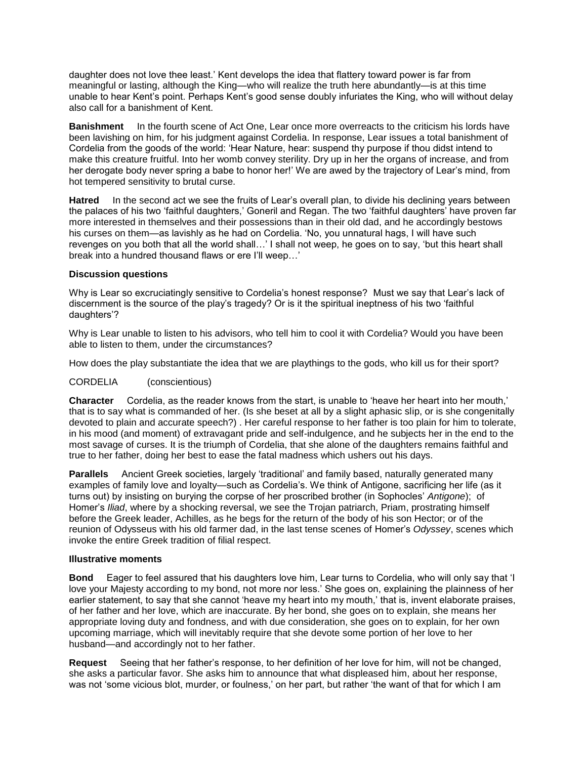daughter does not love thee least.' Kent develops the idea that flattery toward power is far from meaningful or lasting, although the King—who will realize the truth here abundantly—is at this time unable to hear Kent's point. Perhaps Kent's good sense doubly infuriates the King, who will without delay also call for a banishment of Kent.

**Banishment** In the fourth scene of Act One, Lear once more overreacts to the criticism his lords have been lavishing on him, for his judgment against Cordelia. In response, Lear issues a total banishment of Cordelia from the goods of the world: 'Hear Nature, hear: suspend thy purpose if thou didst intend to make this creature fruitful. Into her womb convey sterility. Dry up in her the organs of increase, and from her derogate body never spring a babe to honor her!' We are awed by the trajectory of Lear's mind, from hot tempered sensitivity to brutal curse.

**Hatred** In the second act we see the fruits of Lear's overall plan, to divide his declining years between the palaces of his two 'faithful daughters,' Goneril and Regan. The two 'faithful daughters' have proven far more interested in themselves and their possessions than in their old dad, and he accordingly bestows his curses on them—as lavishly as he had on Cordelia. 'No, you unnatural hags, I will have such revenges on you both that all the world shall…' I shall not weep, he goes on to say, 'but this heart shall break into a hundred thousand flaws or ere I'll weep…'

#### **Discussion questions**

Why is Lear so excruciatingly sensitive to Cordelia's honest response? Must we say that Lear's lack of discernment is the source of the play's tragedy? Or is it the spiritual ineptness of his two 'faithful daughters'?

Why is Lear unable to listen to his advisors, who tell him to cool it with Cordelia? Would you have been able to listen to them, under the circumstances?

How does the play substantiate the idea that we are playthings to the gods, who kill us for their sport?

### CORDELIA (conscientious)

**Character** Cordelia, as the reader knows from the start, is unable to 'heave her heart into her mouth,' that is to say what is commanded of her. (Is she beset at all by a slight aphasic slip, or is she congenitally devoted to plain and accurate speech?) . Her careful response to her father is too plain for him to tolerate, in his mood (and moment) of extravagant pride and self-indulgence, and he subjects her in the end to the most savage of curses. It is the triumph of Cordelia, that she alone of the daughters remains faithful and true to her father, doing her best to ease the fatal madness which ushers out his days.

**Parallels** Ancient Greek societies, largely 'traditional' and family based, naturally generated many examples of family love and loyalty—such as Cordelia's. We think of Antigone, sacrificing her life (as it turns out) by insisting on burying the corpse of her proscribed brother (in Sophocles' *Antigone*); of Homer's *Iliad*, where by a shocking reversal, we see the Trojan patriarch, Priam, prostrating himself before the Greek leader, Achilles, as he begs for the return of the body of his son Hector; or of the reunion of Odysseus with his old farmer dad, in the last tense scenes of Homer's *Odyssey*, scenes which invoke the entire Greek tradition of filial respect.

#### **Illustrative moments**

**Bond** Eager to feel assured that his daughters love him, Lear turns to Cordelia, who will only say that 'I love your Majesty according to my bond, not more nor less.' She goes on, explaining the plainness of her earlier statement, to say that she cannot 'heave my heart into my mouth,' that is, invent elaborate praises, of her father and her love, which are inaccurate. By her bond, she goes on to explain, she means her appropriate loving duty and fondness, and with due consideration, she goes on to explain, for her own upcoming marriage, which will inevitably require that she devote some portion of her love to her husband—and accordingly not to her father.

**Request** Seeing that her father's response, to her definition of her love for him, will not be changed, she asks a particular favor. She asks him to announce that what displeased him, about her response, was not 'some vicious blot, murder, or foulness,' on her part, but rather 'the want of that for which I am